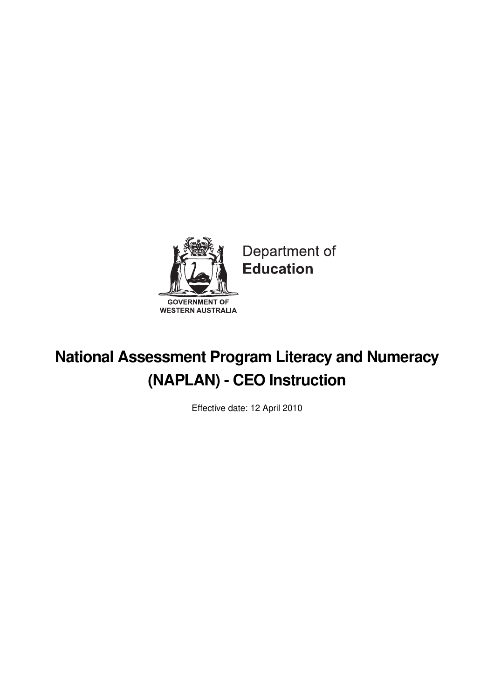

Department of **Education** 

# **National Assessment Program Literacy and Numeracy (NAPLAN) - CEO Instruction**

Effective date: 12 April 2010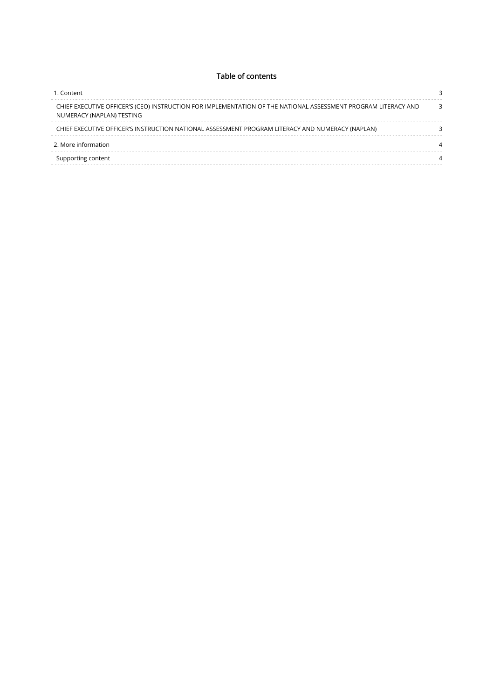#### Table of contents

| 1. Content<br>CHIEF EXECUTIVE OFFICER'S (CEO) INSTRUCTION FOR IMPLEMENTATION OF THE NATIONAL ASSESSMENT PROGRAM LITERACY AND<br>NUMERACY (NAPLAN) TESTING |  |
|-----------------------------------------------------------------------------------------------------------------------------------------------------------|--|
|                                                                                                                                                           |  |
| CHIEF EXECUTIVE OFFICER'S INSTRUCTION NATIONAL ASSESSMENT PROGRAM LITERACY AND NUMERACY (NAPLAN)                                                          |  |
| 2. More information                                                                                                                                       |  |
| Supporting content                                                                                                                                        |  |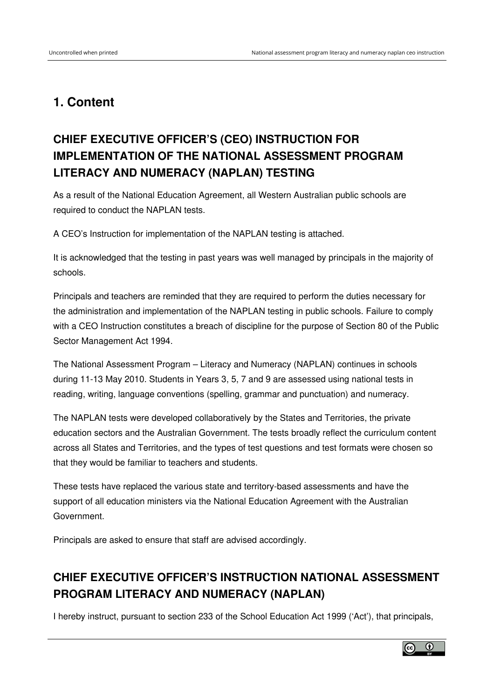### <span id="page-2-0"></span>**1. Content**

## <span id="page-2-1"></span>**CHIEF EXECUTIVE OFFICER'S (CEO) INSTRUCTION FOR IMPLEMENTATION OF THE NATIONAL ASSESSMENT PROGRAM LITERACY AND NUMERACY (NAPLAN) TESTING**

As a result of the National Education Agreement, all Western Australian public schools are required to conduct the NAPLAN tests.

A CEO's Instruction for implementation of the NAPLAN testing is attached.

It is acknowledged that the testing in past years was well managed by principals in the majority of schools.

Principals and teachers are reminded that they are required to perform the duties necessary for the administration and implementation of the NAPLAN testing in public schools. Failure to comply with a CEO Instruction constitutes a breach of discipline for the purpose of Section 80 of the Public Sector Management Act 1994.

The National Assessment Program – Literacy and Numeracy (NAPLAN) continues in schools during 11-13 May 2010. Students in Years 3, 5, 7 and 9 are assessed using national tests in reading, writing, language conventions (spelling, grammar and punctuation) and numeracy.

The NAPLAN tests were developed collaboratively by the States and Territories, the private education sectors and the Australian Government. The tests broadly reflect the curriculum content across all States and Territories, and the types of test questions and test formats were chosen so that they would be familiar to teachers and students.

These tests have replaced the various state and territory-based assessments and have the support of all education ministers via the National Education Agreement with the Australian Government.

Principals are asked to ensure that staff are advised accordingly.

### <span id="page-2-2"></span>**CHIEF EXECUTIVE OFFICER'S INSTRUCTION NATIONAL ASSESSMENT PROGRAM LITERACY AND NUMERACY (NAPLAN)**

I hereby instruct, pursuant to section 233 of the School Education Act 1999 ('Act'), that principals,